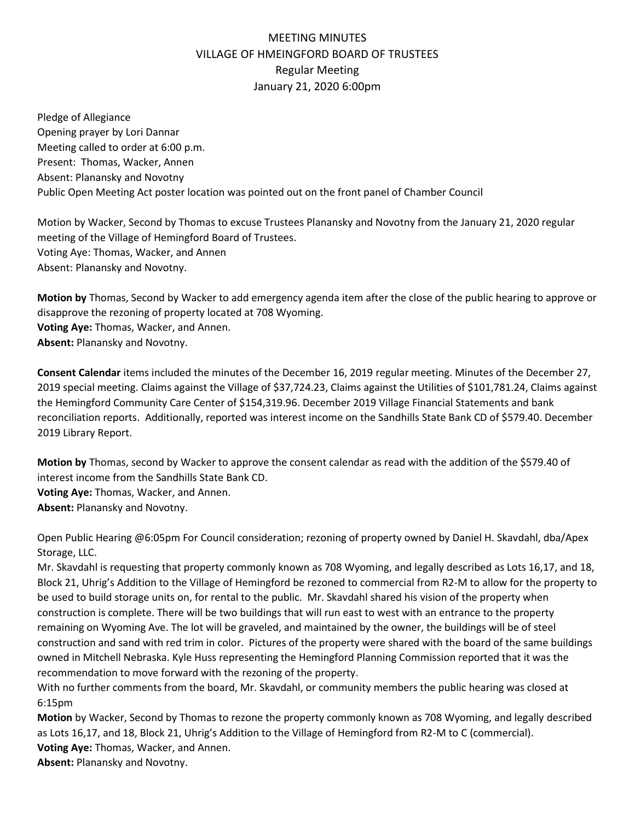# MEETING MINUTES VILLAGE OF HMEINGFORD BOARD OF TRUSTEES Regular Meeting January 21, 2020 6:00pm

Pledge of Allegiance Opening prayer by Lori Dannar Meeting called to order at 6:00 p.m. Present: Thomas, Wacker, Annen Absent: Planansky and Novotny Public Open Meeting Act poster location was pointed out on the front panel of Chamber Council

Motion by Wacker, Second by Thomas to excuse Trustees Planansky and Novotny from the January 21, 2020 regular meeting of the Village of Hemingford Board of Trustees. Voting Aye: Thomas, Wacker, and Annen Absent: Planansky and Novotny.

**Motion by** Thomas, Second by Wacker to add emergency agenda item after the close of the public hearing to approve or disapprove the rezoning of property located at 708 Wyoming. **Voting Aye:** Thomas, Wacker, and Annen. **Absent:** Planansky and Novotny.

**Consent Calendar** items included the minutes of the December 16, 2019 regular meeting. Minutes of the December 27, 2019 special meeting. Claims against the Village of \$37,724.23, Claims against the Utilities of \$101,781.24, Claims against the Hemingford Community Care Center of \$154,319.96. December 2019 Village Financial Statements and bank reconciliation reports. Additionally, reported was interest income on the Sandhills State Bank CD of \$579.40. December 2019 Library Report.

**Motion by** Thomas, second by Wacker to approve the consent calendar as read with the addition of the \$579.40 of interest income from the Sandhills State Bank CD.

**Voting Aye:** Thomas, Wacker, and Annen.

**Absent:** Planansky and Novotny.

Open Public Hearing @6:05pm For Council consideration; rezoning of property owned by Daniel H. Skavdahl, dba/Apex Storage, LLC.

Mr. Skavdahl is requesting that property commonly known as 708 Wyoming, and legally described as Lots 16,17, and 18, Block 21, Uhrig's Addition to the Village of Hemingford be rezoned to commercial from R2-M to allow for the property to be used to build storage units on, for rental to the public. Mr. Skavdahl shared his vision of the property when construction is complete. There will be two buildings that will run east to west with an entrance to the property remaining on Wyoming Ave. The lot will be graveled, and maintained by the owner, the buildings will be of steel construction and sand with red trim in color. Pictures of the property were shared with the board of the same buildings owned in Mitchell Nebraska. Kyle Huss representing the Hemingford Planning Commission reported that it was the recommendation to move forward with the rezoning of the property.

With no further comments from the board, Mr. Skavdahl, or community members the public hearing was closed at 6:15pm

**Motion** by Wacker, Second by Thomas to rezone the property commonly known as 708 Wyoming, and legally described as Lots 16,17, and 18, Block 21, Uhrig's Addition to the Village of Hemingford from R2-M to C (commercial). **Voting Aye:** Thomas, Wacker, and Annen.

**Absent:** Planansky and Novotny.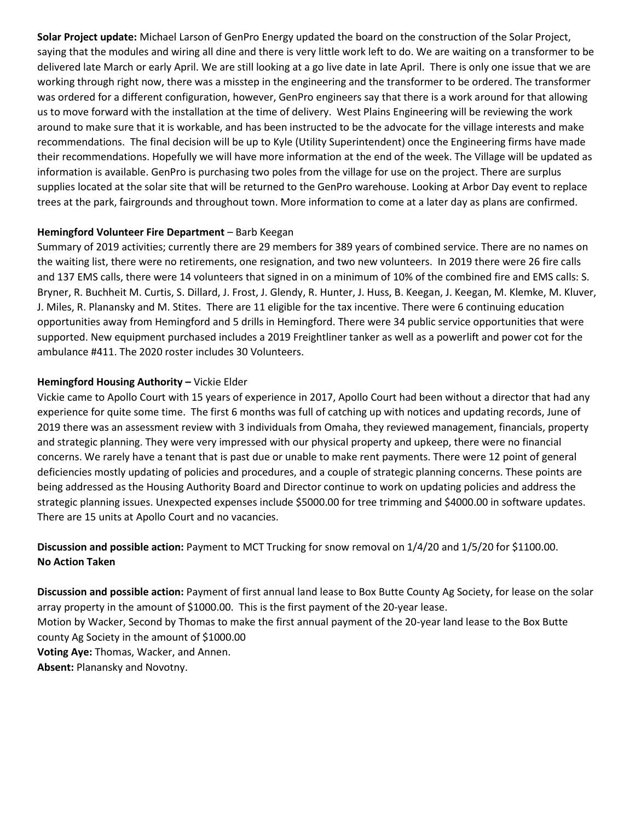**Solar Project update:** Michael Larson of GenPro Energy updated the board on the construction of the Solar Project, saying that the modules and wiring all dine and there is very little work left to do. We are waiting on a transformer to be delivered late March or early April. We are still looking at a go live date in late April. There is only one issue that we are working through right now, there was a misstep in the engineering and the transformer to be ordered. The transformer was ordered for a different configuration, however, GenPro engineers say that there is a work around for that allowing us to move forward with the installation at the time of delivery. West Plains Engineering will be reviewing the work around to make sure that it is workable, and has been instructed to be the advocate for the village interests and make recommendations. The final decision will be up to Kyle (Utility Superintendent) once the Engineering firms have made their recommendations. Hopefully we will have more information at the end of the week. The Village will be updated as information is available. GenPro is purchasing two poles from the village for use on the project. There are surplus supplies located at the solar site that will be returned to the GenPro warehouse. Looking at Arbor Day event to replace trees at the park, fairgrounds and throughout town. More information to come at a later day as plans are confirmed.

#### **Hemingford Volunteer Fire Department** – Barb Keegan

Summary of 2019 activities; currently there are 29 members for 389 years of combined service. There are no names on the waiting list, there were no retirements, one resignation, and two new volunteers. In 2019 there were 26 fire calls and 137 EMS calls, there were 14 volunteers that signed in on a minimum of 10% of the combined fire and EMS calls: S. Bryner, R. Buchheit M. Curtis, S. Dillard, J. Frost, J. Glendy, R. Hunter, J. Huss, B. Keegan, J. Keegan, M. Klemke, M. Kluver, J. Miles, R. Planansky and M. Stites. There are 11 eligible for the tax incentive. There were 6 continuing education opportunities away from Hemingford and 5 drills in Hemingford. There were 34 public service opportunities that were supported. New equipment purchased includes a 2019 Freightliner tanker as well as a powerlift and power cot for the ambulance #411. The 2020 roster includes 30 Volunteers.

#### **Hemingford Housing Authority –** Vickie Elder

Vickie came to Apollo Court with 15 years of experience in 2017, Apollo Court had been without a director that had any experience for quite some time. The first 6 months was full of catching up with notices and updating records, June of 2019 there was an assessment review with 3 individuals from Omaha, they reviewed management, financials, property and strategic planning. They were very impressed with our physical property and upkeep, there were no financial concerns. We rarely have a tenant that is past due or unable to make rent payments. There were 12 point of general deficiencies mostly updating of policies and procedures, and a couple of strategic planning concerns. These points are being addressed as the Housing Authority Board and Director continue to work on updating policies and address the strategic planning issues. Unexpected expenses include \$5000.00 for tree trimming and \$4000.00 in software updates. There are 15 units at Apollo Court and no vacancies.

## **Discussion and possible action:** Payment to MCT Trucking for snow removal on 1/4/20 and 1/5/20 for \$1100.00. **No Action Taken**

**Discussion and possible action:** Payment of first annual land lease to Box Butte County Ag Society, for lease on the solar array property in the amount of \$1000.00. This is the first payment of the 20-year lease. Motion by Wacker, Second by Thomas to make the first annual payment of the 20-year land lease to the Box Butte county Ag Society in the amount of \$1000.00 **Voting Aye:** Thomas, Wacker, and Annen. **Absent:** Planansky and Novotny.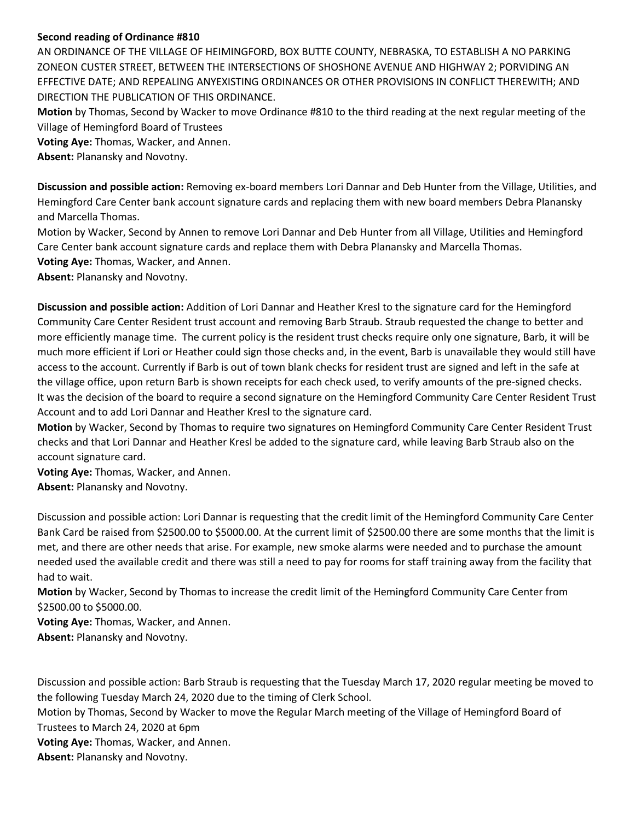### **Second reading of Ordinance #810**

AN ORDINANCE OF THE VILLAGE OF HEIMINGFORD, BOX BUTTE COUNTY, NEBRASKA, TO ESTABLISH A NO PARKING ZONEON CUSTER STREET, BETWEEN THE INTERSECTIONS OF SHOSHONE AVENUE AND HIGHWAY 2; PORVIDING AN EFFECTIVE DATE; AND REPEALING ANYEXISTING ORDINANCES OR OTHER PROVISIONS IN CONFLICT THEREWITH; AND DIRECTION THE PUBLICATION OF THIS ORDINANCE.

**Motion** by Thomas, Second by Wacker to move Ordinance #810 to the third reading at the next regular meeting of the Village of Hemingford Board of Trustees

**Voting Aye:** Thomas, Wacker, and Annen.

**Absent:** Planansky and Novotny.

**Discussion and possible action:** Removing ex-board members Lori Dannar and Deb Hunter from the Village, Utilities, and Hemingford Care Center bank account signature cards and replacing them with new board members Debra Planansky and Marcella Thomas.

Motion by Wacker, Second by Annen to remove Lori Dannar and Deb Hunter from all Village, Utilities and Hemingford Care Center bank account signature cards and replace them with Debra Planansky and Marcella Thomas.

**Voting Aye:** Thomas, Wacker, and Annen.

**Absent:** Planansky and Novotny.

**Discussion and possible action:** Addition of Lori Dannar and Heather Kresl to the signature card for the Hemingford Community Care Center Resident trust account and removing Barb Straub. Straub requested the change to better and more efficiently manage time. The current policy is the resident trust checks require only one signature, Barb, it will be much more efficient if Lori or Heather could sign those checks and, in the event, Barb is unavailable they would still have access to the account. Currently if Barb is out of town blank checks for resident trust are signed and left in the safe at the village office, upon return Barb is shown receipts for each check used, to verify amounts of the pre-signed checks. It was the decision of the board to require a second signature on the Hemingford Community Care Center Resident Trust Account and to add Lori Dannar and Heather Kresl to the signature card.

**Motion** by Wacker, Second by Thomas to require two signatures on Hemingford Community Care Center Resident Trust checks and that Lori Dannar and Heather Kresl be added to the signature card, while leaving Barb Straub also on the account signature card.

**Voting Aye:** Thomas, Wacker, and Annen. **Absent:** Planansky and Novotny.

Discussion and possible action: Lori Dannar is requesting that the credit limit of the Hemingford Community Care Center Bank Card be raised from \$2500.00 to \$5000.00. At the current limit of \$2500.00 there are some months that the limit is met, and there are other needs that arise. For example, new smoke alarms were needed and to purchase the amount needed used the available credit and there was still a need to pay for rooms for staff training away from the facility that had to wait.

**Motion** by Wacker, Second by Thomas to increase the credit limit of the Hemingford Community Care Center from \$2500.00 to \$5000.00.

**Voting Aye:** Thomas, Wacker, and Annen.

**Absent:** Planansky and Novotny.

Discussion and possible action: Barb Straub is requesting that the Tuesday March 17, 2020 regular meeting be moved to the following Tuesday March 24, 2020 due to the timing of Clerk School. Motion by Thomas, Second by Wacker to move the Regular March meeting of the Village of Hemingford Board of Trustees to March 24, 2020 at 6pm **Voting Aye:** Thomas, Wacker, and Annen. **Absent:** Planansky and Novotny.